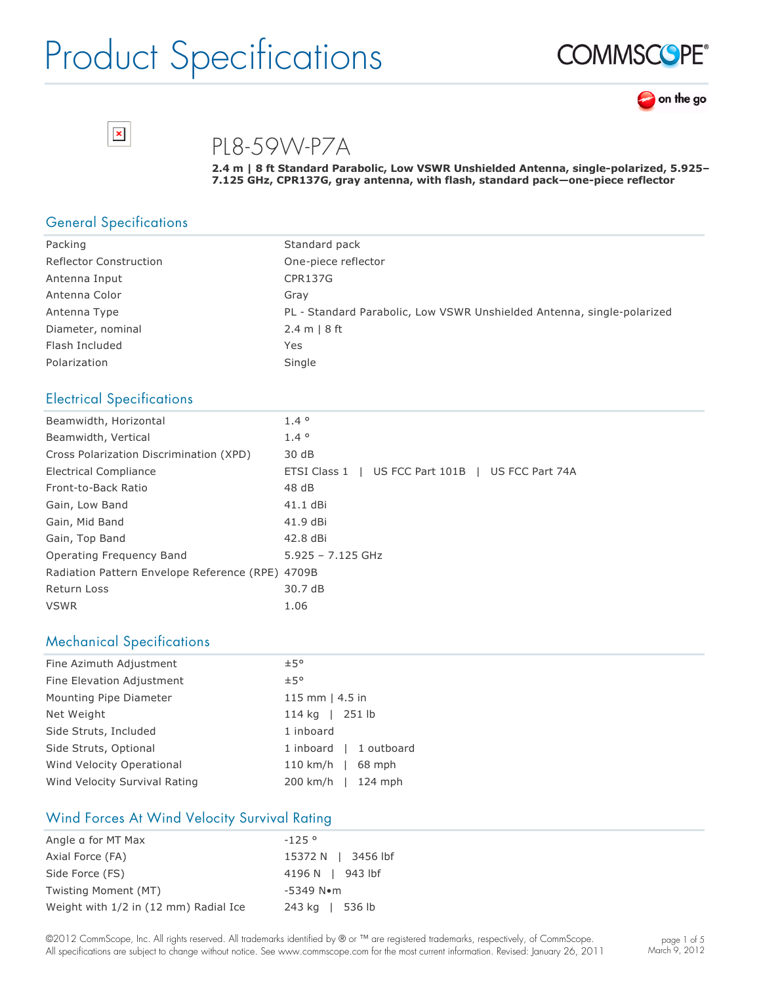





PL8-59W-P7A

**2.4 m | 8 ft Standard Parabolic, Low VSWR Unshielded Antenna, singlepolarized, 5.925– 7.125 GHz, CPR137G, gray antenna, with flash, standard pack—onepiece reflector**

#### General Specifications

| Packing                       | Standard pack                                                          |
|-------------------------------|------------------------------------------------------------------------|
| <b>Reflector Construction</b> | One-piece reflector                                                    |
| Antenna Input                 | CPR137G                                                                |
| Antenna Color                 | Grav                                                                   |
| Antenna Type                  | PL - Standard Parabolic, Low VSWR Unshielded Antenna, single-polarized |
| Diameter, nominal             | 2.4 m   8 ft                                                           |
| Flash Included                | Yes                                                                    |
| Polarization                  | Single                                                                 |

#### Electrical Specifications

| Beamwidth, Horizontal                            | $1.4^\circ$                                       |
|--------------------------------------------------|---------------------------------------------------|
| Beamwidth, Vertical                              | $1.4^\circ$                                       |
| Cross Polarization Discrimination (XPD)          | 30 dB                                             |
| Electrical Compliance                            | ETSI Class 1   US FCC Part 101B   US FCC Part 74A |
| Front-to-Back Ratio                              | 48 dB                                             |
| Gain, Low Band                                   | 41.1 dBi                                          |
| Gain, Mid Band                                   | 41.9 dBi                                          |
| Gain, Top Band                                   | 42.8 dBi                                          |
| Operating Frequency Band                         | $5.925 - 7.125$ GHz                               |
| Radiation Pattern Envelope Reference (RPE) 4709B |                                                   |
| Return Loss                                      | 30.7 dB                                           |
| <b>VSWR</b>                                      | 1.06                                              |

#### Mechanical Specifications

| Fine Azimuth Adjustment       | ±5°                    |
|-------------------------------|------------------------|
| Fine Elevation Adjustment     | ±5°                    |
| Mounting Pipe Diameter        | 115 mm $ $ 4.5 in      |
| Net Weight                    | 114 kg   251 lb        |
| Side Struts, Included         | 1 inboard              |
| Side Struts, Optional         | 1 inboard   1 outboard |
| Wind Velocity Operational     | $110$ km/h  <br>68 mph |
| Wind Velocity Survival Rating | 200 km/h   124 mph     |

#### Wind Forces At Wind Velocity Survival Rating

| Angle a for MT Max                    | $-125°$               |
|---------------------------------------|-----------------------|
| Axial Force (FA)                      | 15372 N   3456 lbf    |
| Side Force (FS)                       | 4196 N   943 lbf      |
| Twisting Moment (MT)                  | $-5349$ N $\bullet$ m |
| Weight with 1/2 in (12 mm) Radial Ice | 243 kg   536 lb       |

©2012 CommScope, Inc. All rights reserved. All trademarks identified by ® or ™ are registered trademarks, respectively, of CommScope. All specifications are subject to change without notice. See www.commscope.com for the most current information. Revised: January 26, 2011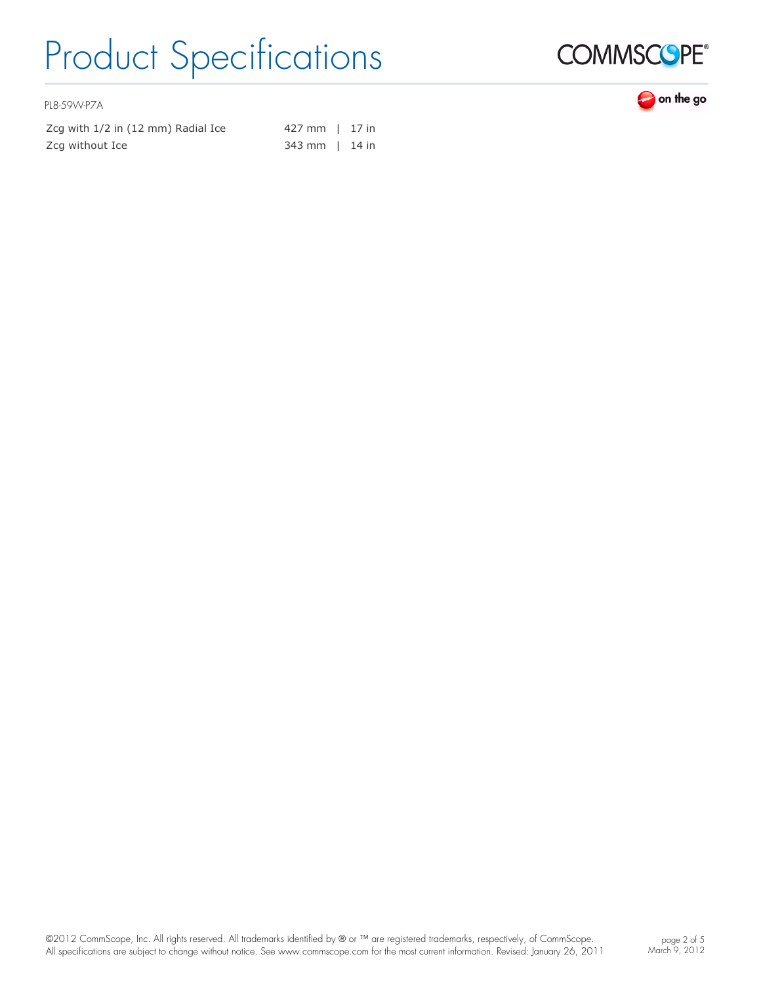

PL8-59W-P7A

Zcg with  $1/2$  in  $(12 \text{ mm})$  Radial Ice  $427 \text{ mm}$  | 17 in Zcg without Ice 343 mm | 14 in

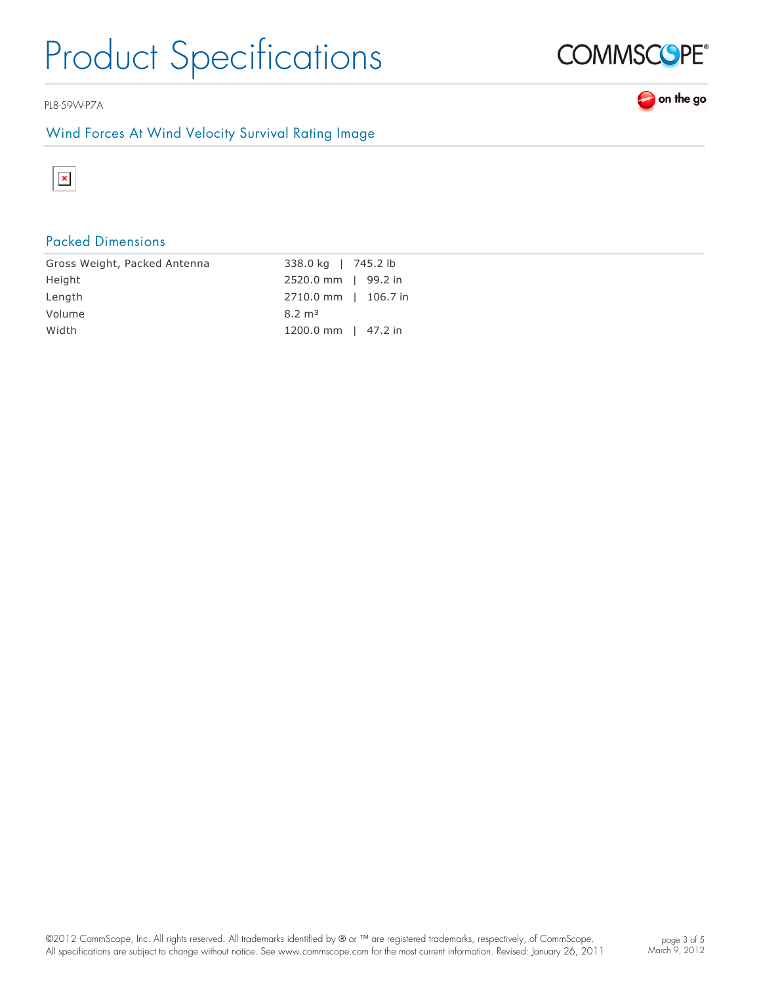PL8-59W-P7A

### Wind Forces At Wind Velocity Survival Rating Image



### Packed Dimensions

| Gross Weight, Packed Antenna | 338.0 kg   745.2 lb  |
|------------------------------|----------------------|
| Height                       | 2520.0 mm   99.2 in  |
| Length                       | 2710.0 mm   106.7 in |
| Volume                       | $8.2 \text{ m}^3$    |
| Width                        | 1200.0 mm   47.2 in  |

©2012 CommScope, Inc. All rights reserved. All trademarks identified by ® or ™ are registered trademarks, respectively, of CommScope. All specifications are subject to change without notice. See www.commscope.com for the most current information. Revised: January 26, 2011



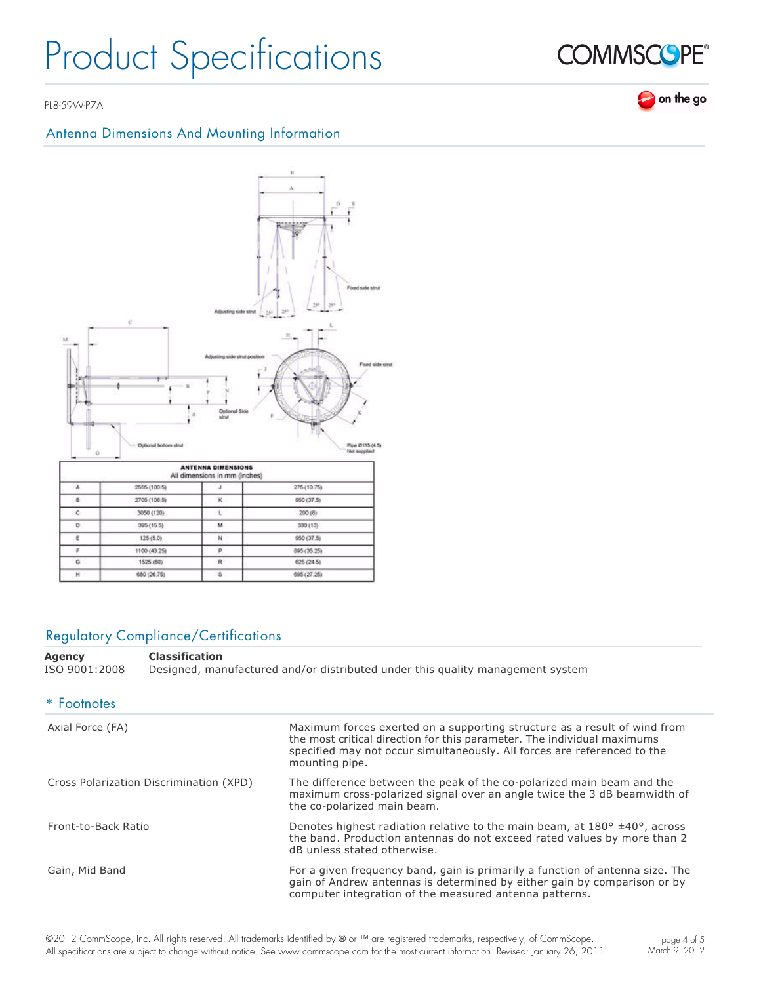PL8-59W-P7A

### Antenna Dimensions And Mounting Information



s

### Regulatory Compliance/Certifications

680 (26.75)

H

**Agency Classification** ISO 9001:2008 Designed, manufactured and/or distributed under this quality management system

695 (27.25)

| * Footnotes                             |                                                                                                                                                                                                                                                    |
|-----------------------------------------|----------------------------------------------------------------------------------------------------------------------------------------------------------------------------------------------------------------------------------------------------|
| Axial Force (FA)                        | Maximum forces exerted on a supporting structure as a result of wind from<br>the most critical direction for this parameter. The individual maximums<br>specified may not occur simultaneously. All forces are referenced to the<br>mounting pipe. |
| Cross Polarization Discrimination (XPD) | The difference between the peak of the co-polarized main beam and the<br>maximum cross-polarized signal over an angle twice the 3 dB beamwidth of<br>the co-polarized main beam.                                                                   |
| Front-to-Back Ratio                     | Denotes highest radiation relative to the main beam, at $180^{\circ}$ ±40°, across<br>the band. Production antennas do not exceed rated values by more than 2<br>dB unless stated otherwise.                                                       |
| Gain, Mid Band                          | For a given frequency band, gain is primarily a function of antenna size. The<br>gain of Andrew antennas is determined by either gain by comparison or by<br>computer integration of the measured antenna patterns.                                |